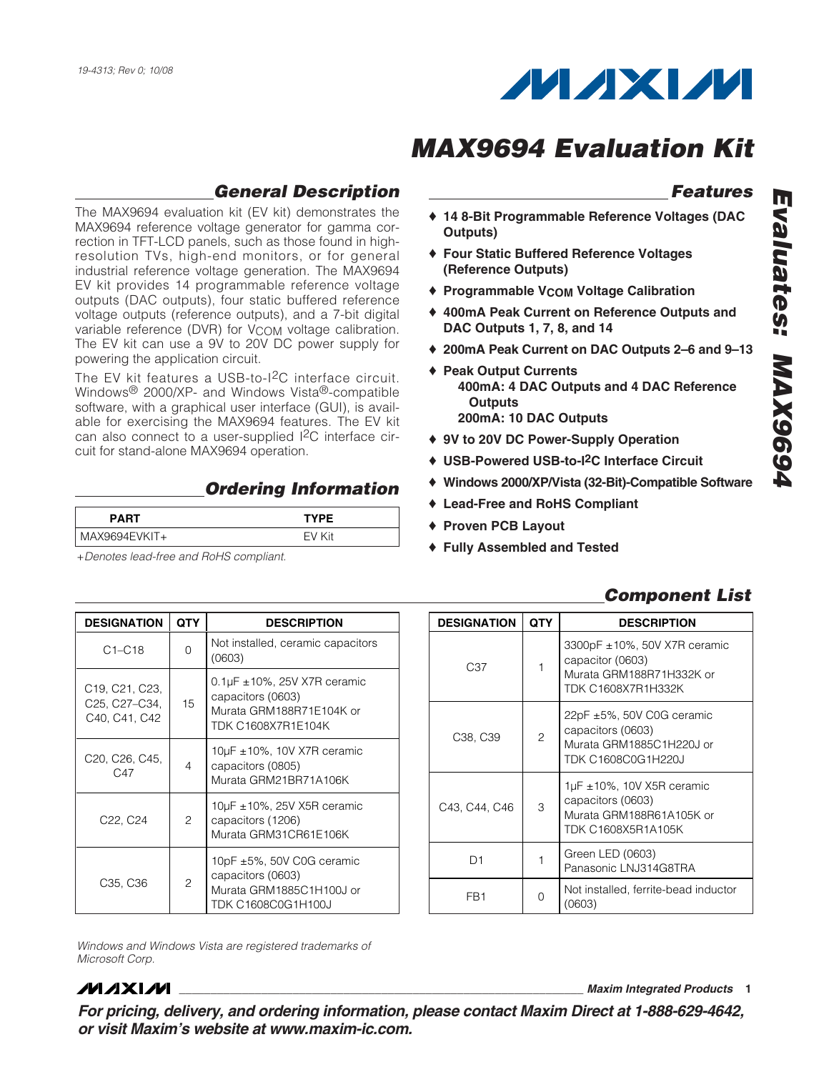

## **General Description**

The MAX9694 evaluation kit (EV kit) demonstrates the MAX9694 reference voltage generator for gamma correction in TFT-LCD panels, such as those found in highresolution TVs, high-end monitors, or for general industrial reference voltage generation. The MAX9694 EV kit provides 14 programmable reference voltage outputs (DAC outputs), four static buffered reference voltage outputs (reference outputs), and a 7-bit digital variable reference (DVR) for V<sub>COM</sub> voltage calibration. The EV kit can use a 9V to 20V DC power supply for powering the application circuit.

The EV kit features a USB-to-I<sup>2</sup>C interface circuit. Windows® 2000/XP- and Windows Vista®-compatible software, with a graphical user interface (GUI), is available for exercising the MAX9694 features. The EV kit can also connect to a user-supplied I2C interface circuit for stand-alone MAX9694 operation.

## **Ordering Information**

| <b>PART</b>   | TYPF |
|---------------|------|
| MAX9694EVKIT+ |      |

+Denotes lead-free and RoHS compliant.

## **Features**

- ♦ **14 8-Bit Programmable Reference Voltages (DAC Outputs)**
- ♦ **Four Static Buffered Reference Voltages (Reference Outputs)**
- ♦ **Programmable VCOM Voltage Calibration**
- ♦ **400mA Peak Current on Reference Outputs and DAC Outputs 1, 7, 8, and 14**
- ♦ **200mA Peak Current on DAC Outputs 2–6 and 9–13**
- ♦ **Peak Output Currents 400mA: 4 DAC Outputs and 4 DAC Reference Outputs 200mA: 10 DAC Outputs**
- ♦ **9V to 20V DC Power-Supply Operation**
- ♦ **USB-Powered USB-to-I2C Interface Circuit**
- ♦ **Windows 2000/XP/Vista (32-Bit)-Compatible Software**
- ♦ **Lead-Free and RoHS Compliant**
- ♦ **Proven PCB Layout**
- ♦ **Fully Assembled and Tested**

## **Component List**

| <b>DESIGNATION</b>                                                                      | <b>QTY</b> | <b>DESCRIPTION</b>                                                                                              |
|-----------------------------------------------------------------------------------------|------------|-----------------------------------------------------------------------------------------------------------------|
| $C1 - C18$                                                                              | $\Omega$   | Not installed, ceramic capacitors<br>(0603)                                                                     |
| C <sub>19</sub> , C <sub>21</sub> , C <sub>23</sub> ,<br>C25, C27-C34,<br>C40, C41, C42 | 15         | 0.1 $\mu$ F ±10%, 25V X7R ceramic<br>capacitors (0603)<br>Murata GRM188R71E104K or<br><b>TDK C1608X7R1E104K</b> |
| C20, C26, C45,<br>C47                                                                   | 4          | $10\mu$ F $\pm$ 10%, 10V X7R ceramic<br>capacitors (0805)<br>Murata GRM21BR71A106K                              |
| C22, C24                                                                                | 2          | $10\mu$ F $\pm$ 10%, 25V X5R ceramic<br>capacitors (1206)<br>Murata GRM31CR61E106K                              |
| C35, C36                                                                                | 2          | 10pF $\pm$ 5%, 50V C0G ceramic<br>capacitors (0603)<br>Murata GRM1885C1H100J or<br><b>TDK C1608C0G1H100J</b>    |

| <b>DESIGNATION</b> | <b>QTY</b> | <b>DESCRIPTION</b>                                                                                            |
|--------------------|------------|---------------------------------------------------------------------------------------------------------------|
| C <sub>37</sub>    | 1          | 3300pF ±10%, 50V X7R ceramic<br>capacitor (0603)<br>Murata GRM188R71H332K or<br>TDK C1608X7R1H332K            |
| C38, C39           | 2          | 22pF ±5%, 50V C0G ceramic<br>capacitors (0603)<br>Murata GRM1885C1H220J or<br>TDK C1608C0G1H220J              |
| C43, C44, C46      | 3          | $1\mu$ F ± 10%, 10V X5R ceramic<br>capacitors (0603)<br>Murata GRM188R61A105K or<br><b>TDK C1608X5R1A105K</b> |
| D1                 |            | Green LED (0603)<br>Panasonic LNJ314G8TRA                                                                     |
| FB <sub>1</sub>    | 0          | Not installed, ferrite-bead inductor<br>(0603)                                                                |

Windows and Windows Vista are registered trademarks of Microsoft Corp.

## **MAXIM**

**\_\_\_\_\_\_\_\_\_\_\_\_\_\_\_\_\_\_\_\_\_\_\_\_\_\_\_\_\_\_\_\_\_\_\_\_\_\_\_\_\_\_\_\_\_\_\_\_\_\_\_\_\_\_\_\_\_\_\_\_\_\_\_\_ Maxim Integrated Products 1**

**For pricing, delivery, and ordering information, please contact Maxim Direct at 1-888-629-4642, or visit Maxim's website at www.maxim-ic.com.**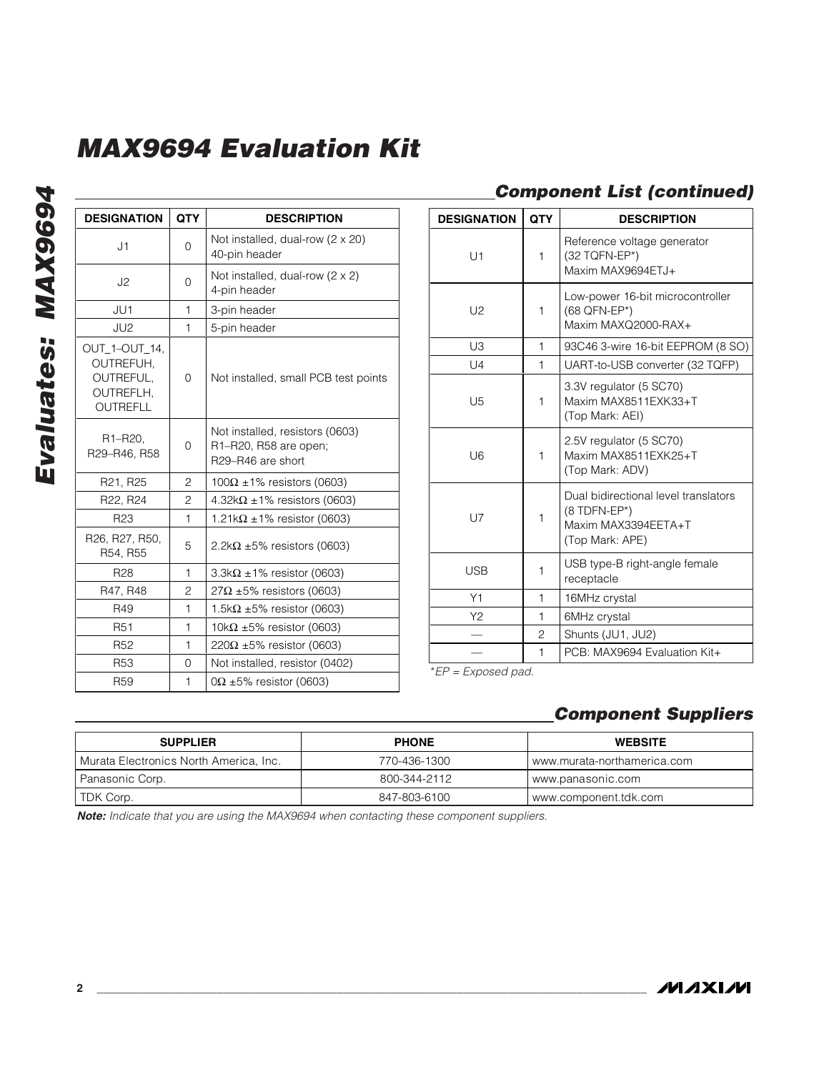| <b>DESIGNATION</b>                                                      | QTY            | <b>DESCRIPTION</b>                                                            |
|-------------------------------------------------------------------------|----------------|-------------------------------------------------------------------------------|
| J1                                                                      | 0              | Not installed, dual-row (2 x 20)<br>40-pin header                             |
| J2                                                                      | 0              | Not installed, dual-row $(2 \times 2)$<br>4-pin header                        |
| JU1                                                                     | 1              | 3-pin header                                                                  |
| JU <sub>2</sub>                                                         | 1              | 5-pin header                                                                  |
| OUT 1-OUT 14.<br>OUTREFUH,<br>OUTREFUL,<br>OUTREFLH,<br><b>OUTREFLL</b> | 0              | Not installed, small PCB test points                                          |
| R1-R20,<br>R29-R46, R58                                                 | 0              | Not installed, resistors (0603)<br>R1-R20, R58 are open;<br>R29-R46 are short |
| R21, R25                                                                | 2              | $100\Omega$ ±1% resistors (0603)                                              |
| R22, R24                                                                | $\overline{c}$ | 4.32k $\Omega$ ±1% resistors (0603)                                           |
| R <sub>23</sub>                                                         | 1              | $1.21\mathrm{k}\Omega \pm 1\%$ resistor (0603)                                |
| R26, R27, R50,<br>R54, R55                                              | 5              | 2.2k $\Omega$ ±5% resistors (0603)                                            |
| R <sub>28</sub>                                                         | 1              | $3.3\mathrm{k}\Omega \pm 1\%$ resistor (0603)                                 |
| R47, R48                                                                | $\overline{c}$ | $27\Omega$ ±5% resistors (0603)                                               |
| R49                                                                     | 1              | 1.5k $\Omega$ ±5% resistor (0603)                                             |
| R <sub>51</sub>                                                         | 1              | 10k $\Omega$ ±5% resistor (0603)                                              |
| R <sub>52</sub>                                                         | 1              | 220Ω ±5% resistor (0603)                                                      |
| R <sub>53</sub>                                                         | $\Omega$       | Not installed, resistor (0402)                                                |
| R <sub>59</sub>                                                         | 1              | $0\Omega \pm 5\%$ resistor (0603)                                             |

## **Component List (continued)**

| <b>DESIGNATION</b>          | QTY            | <b>DESCRIPTION</b>                                                                             |
|-----------------------------|----------------|------------------------------------------------------------------------------------------------|
| U1                          | 1              | Reference voltage generator<br>(32 TQFN-EP*)<br>Maxim MAX9694ETJ+                              |
| U <sub>2</sub>              | 1              | Low-power 16-bit microcontroller<br>(68 QFN-EP*)<br>Maxim MAXQ2000-RAX+                        |
| U3                          | 1              | 93C46 3-wire 16-bit EEPROM (8 SO)                                                              |
| U4                          | 1              | UART-to-USB converter (32 TQFP)                                                                |
| U5                          | 1              | 3.3V regulator (5 SC70)<br>Maxim MAX8511EXK33+T<br>(Top Mark: AEI)                             |
| U <sub>6</sub>              | 1              | 2.5V regulator (5 SC70)<br>Maxim MAX8511EXK25+T<br>(Top Mark: ADV)                             |
| <b>U7</b>                   | $\mathbf{1}$   | Dual bidirectional level translators<br>(8 TDFN-EP*)<br>Maxim MAX3394EETA+T<br>(Top Mark: APE) |
| <b>USB</b>                  | 1              | USB type-B right-angle female<br>receptacle                                                    |
| Y1                          | 1              | 16MHz crystal                                                                                  |
| Y2                          | 1              | 6MHz crystal                                                                                   |
|                             | $\overline{c}$ | Shunts (JU1, JU2)                                                                              |
| $*FD$ $F$ <i>upgood pod</i> | 1              | PCB: MAX9694 Evaluation Kit+                                                                   |

\*EP = Exposed pad.

## **Component Suppliers**

| <b>SUPPLIER</b>                                     | <b>PHONE</b> | <b>WEBSITE</b>              |
|-----------------------------------------------------|--------------|-----------------------------|
| <sup>1</sup> Murata Electronics North America, Inc. | 770-436-1300 | www.murata-northamerica.com |
| Panasonic Corp.                                     | 800-344-2112 | www.panasonic.com           |
| TDK Corp.                                           | 847-803-6100 | www.component.tdk.com       |

**Note:** Indicate that you are using the MAX9694 when contacting these component suppliers.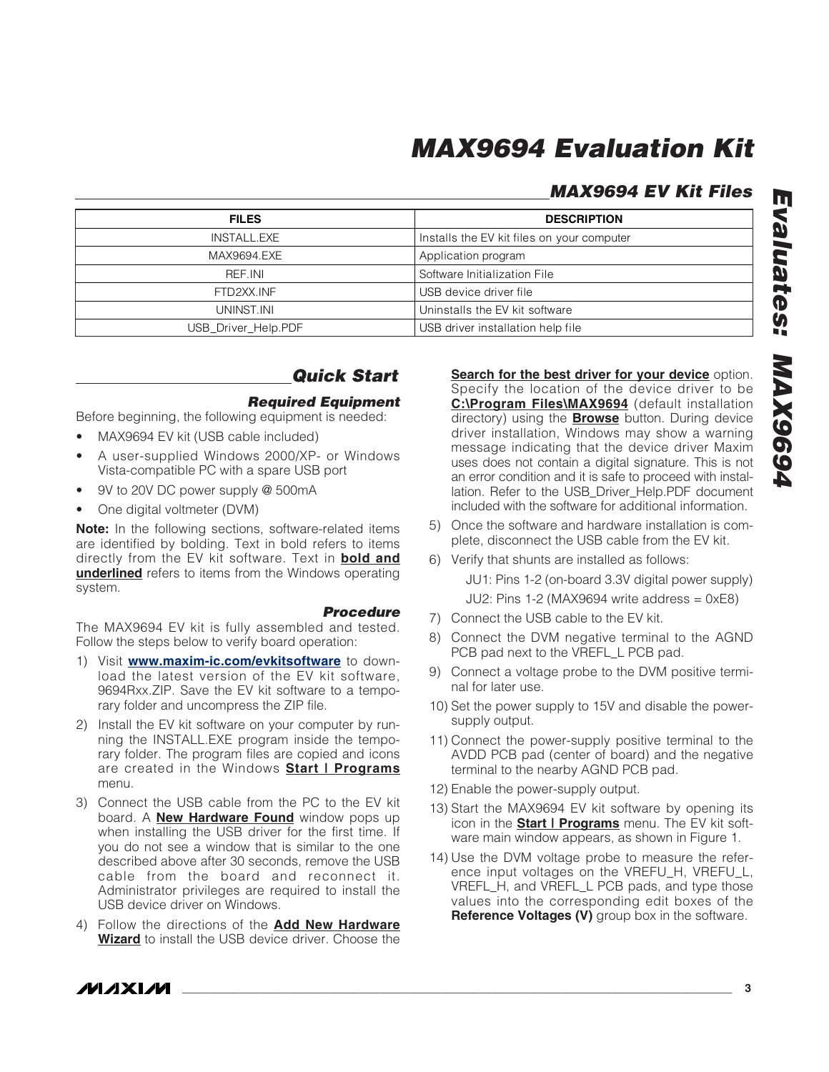## **MAX9694 EV Kit Files**

| <b>FILES</b>        | <b>DESCRIPTION</b>                         |
|---------------------|--------------------------------------------|
| INSTALL.EXE         | Installs the EV kit files on your computer |
| MAX9694.EXE         | Application program                        |
| RFF INI             | Software Initialization File               |
| FTD2XX.INF          | USB device driver file                     |
| UNINST.INI          | Uninstalls the EV kit software             |
| USB_Driver_Help.PDF | USB driver installation help file          |

## **Quick Start**

### **Required Equipment**

Before beginning, the following equipment is needed:

- MAX9694 EV kit (USB cable included)
- A user-supplied Windows 2000/XP- or Windows Vista-compatible PC with a spare USB port
- 9V to 20V DC power supply @ 500mA
- One digital voltmeter (DVM)

#### **Note:** In the following sections, software-related items are identified by bolding. Text in bold refers to items directly from the EV kit software. Text in **bold and underlined** refers to items from the Windows operating system.

**Procedure** The MAX9694 EV kit is fully assembled and tested. Follow the steps below to verify board operation:

- 1) Visit **www.maxim-ic.com/evkitsoftware** to download the latest version of the EV kit software, 9694Rxx.ZIP. Save the EV kit software to a temporary folder and uncompress the ZIP file.
- 2) Install the EV kit software on your computer by running the INSTALL.EXE program inside the temporary folder. The program files are copied and icons are created in the Windows **Start | Programs** menu.
- 3) Connect the USB cable from the PC to the EV kit board. A **New Hardware Found** window pops up when installing the USB driver for the first time. If you do not see a window that is similar to the one described above after 30 seconds, remove the USB cable from the board and reconnect it. Administrator privileges are required to install the USB device driver on Windows.
- 4) Follow the directions of the **Add New Hardware Wizard** to install the USB device driver. Choose the

**Search for the best driver for your device** option. Specify the location of the device driver to be **C:\Program Files\MAX9694** (default installation directory) using the **Browse** button. During device driver installation, Windows may show a warning message indicating that the device driver Maxim uses does not contain a digital signature. This is not an error condition and it is safe to proceed with installation. Refer to the USB\_Driver\_Help.PDF document included with the software for additional information.

- 5) Once the software and hardware installation is complete, disconnect the USB cable from the EV kit.
- 6) Verify that shunts are installed as follows: JU1: Pins 1-2 (on-board 3.3V digital power supply) JU2: Pins 1-2 (MAX9694 write address = 0xE8)
	-
- 7) Connect the USB cable to the EV kit.
- 8) Connect the DVM negative terminal to the AGND PCB pad next to the VREFL\_L PCB pad.
- 9) Connect a voltage probe to the DVM positive terminal for later use.
- 10) Set the power supply to 15V and disable the powersupply output.
- 11) Connect the power-supply positive terminal to the AVDD PCB pad (center of board) and the negative terminal to the nearby AGND PCB pad.
- 12) Enable the power-supply output.
- 13) Start the MAX9694 EV kit software by opening its icon in the **Start | Programs** menu. The EV kit software main window appears, as shown in Figure 1.
- 14) Use the DVM voltage probe to measure the reference input voltages on the VREFU\_H, VREFU\_L, VREFL\_H, and VREFL\_L PCB pads, and type those values into the corresponding edit boxes of the **Reference Voltages (V)** group box in the software.

*IVI A* XI*IV*I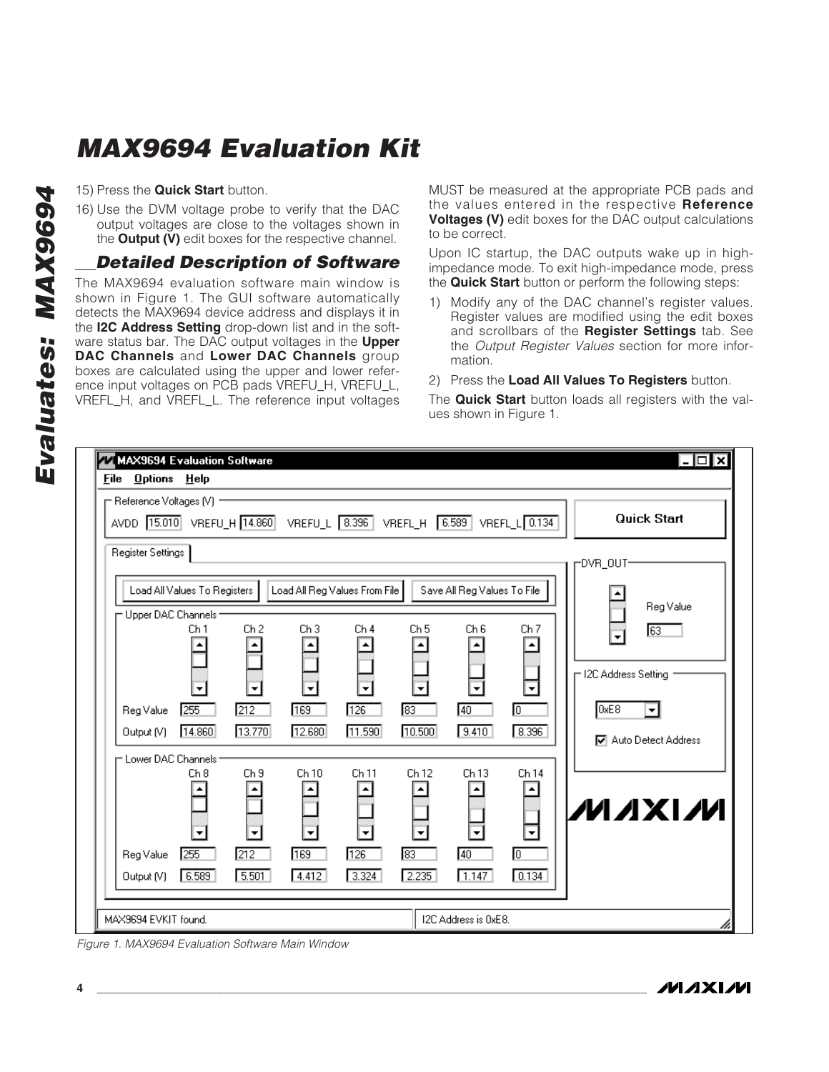16) Use the DVM voltage probe to verify that the DAC output voltages are close to the voltages shown in the **Output (V)** edit boxes for the respective channel.

### **Detailed Description of Software**

15) Press the **Quick Start** button.<br>
16) Use the DVM voltage probe<br>
output voltages are close to<br>
the **Output (V)** edit boxes for t<br> **Detailed Descriptic**<br>
The MAX9694 evaluation softy<br>
shown in Figure 1. The GUI se<br>
detec The MAX9694 evaluation software main window is shown in Figure 1. The GUI software automatically detects the MAX9694 device address and displays it in the **I2C Address Setting** drop-down list and in the software status bar. The DAC output voltages in the **Upper DAC Channels** and **Lower DAC Channels** group boxes are calculated using the upper and lower reference input voltages on PCB pads VREFU\_H, VREFU\_L, VREFL\_H, and VREFL\_L. The reference input voltages

MUST be measured at the appropriate PCB pads and the values entered in the respective **Reference Voltages (V)** edit boxes for the DAC output calculations to be correct.

Upon IC startup, the DAC outputs wake up in highimpedance mode. To exit high-impedance mode, press the **Quick Start** button or perform the following steps:

- 1) Modify any of the DAC channel's register values. Register values are modified using the edit boxes and scrollbars of the **Register Settings** tab. See the Output Register Values section for more information.
- 2) Press the **Load All Values To Registers** button.

The **Quick Start** button loads all registers with the values shown in Figure 1.

| 77 MAX9694 Evaluation Software<br>⊡l⊠<br><b>File Options Help</b>                                                                                                                                                                                                    |
|----------------------------------------------------------------------------------------------------------------------------------------------------------------------------------------------------------------------------------------------------------------------|
| ├ Reference Voltages (V) =<br><b>Quick Start</b><br>AVDD [15.010] VREFU_H [14.860]<br>VREFU_L 8.396 VREFL_H 6.589<br>VREFL_L 0.134                                                                                                                                   |
| Register Settings<br>-DVR_OUT-<br>Load All Values To Registers<br>Load All Reg Values From File<br>Save All Reg Values To File                                                                                                                                       |
| Reg Value<br>- Upper DAC Channels -<br>Ch <sub>6</sub><br>Ch <sub>1</sub><br>Ch <sub>2</sub><br>Ch <sub>3</sub><br>Ch <sub>4</sub><br>Ch <sub>5</sub><br>Ch <sub>7</sub><br>$\overline{63}$<br>12C Address Setting                                                   |
| ۰<br>▼<br>▼<br>▼<br>0xE8<br>255<br>212<br>169<br>$\sqrt{126}$<br>$\overline{83}$<br>40<br>╔<br>Reg Value<br>▾<br>13.770<br>12.680<br>14.860<br>11.590<br>10.500<br>9.410<br>8.396<br>Output (V)<br><b>☑</b> Auto Detect Address<br>- Lower DAC Channels <sup>.</sup> |
| Ch 14<br>Ch10<br>Ch 11<br>Ch 13<br>Ch8<br>Ch <sub>9</sub><br>Ch 12<br><b>MAXIM</b><br>$\overline{\phantom{a}}$<br>$\blacktriangledown$                                                                                                                               |
| 255<br>212<br>169<br>126<br>⊠<br>40<br>╔<br>Reg Value<br>6.589<br>5.501<br>3.324<br>2.235<br>1.147<br>0.134<br>4.412<br>Output (V)                                                                                                                                   |
| MAX9694 EVKIT found.<br>I2C Address is 0xE8.                                                                                                                                                                                                                         |

Figure 1. MAX9694 Evaluation Software Main Window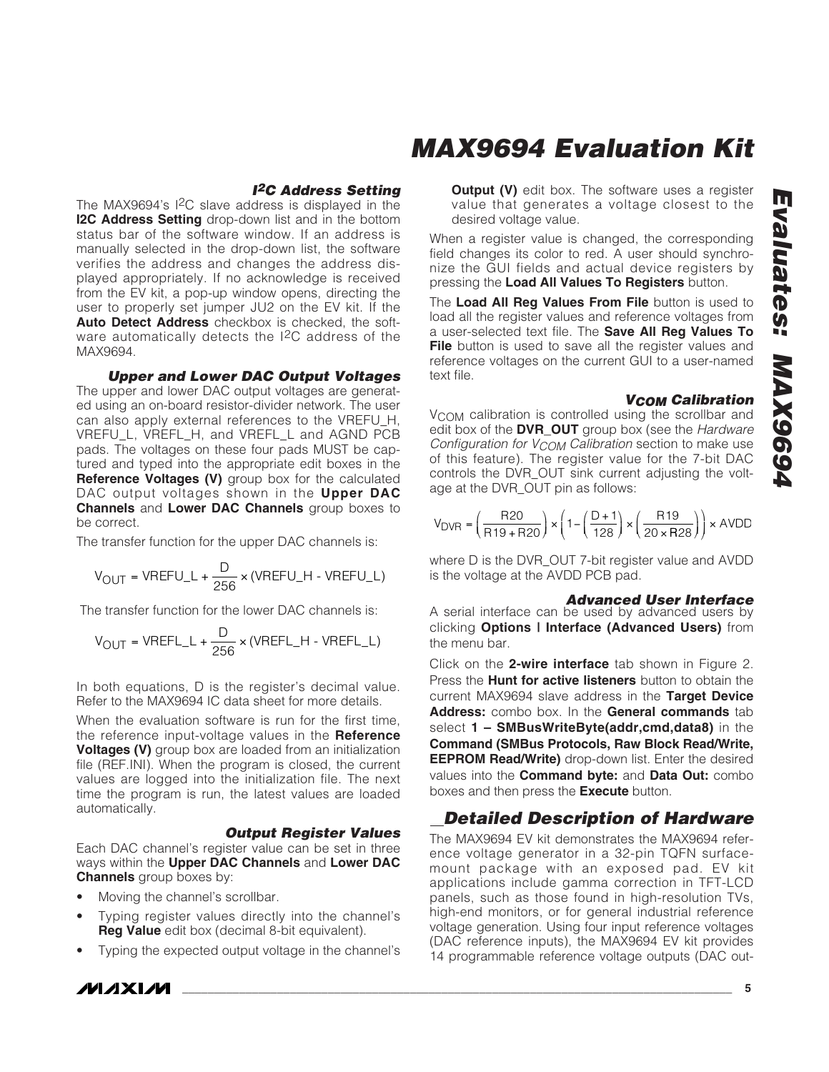## **I<sup>2</sup>C Address Setting**

The MAX9694's I2C slave address is displayed in the **I2C Address Setting** drop-down list and in the bottom status bar of the software window. If an address is manually selected in the drop-down list, the software verifies the address and changes the address displayed appropriately. If no acknowledge is received from the EV kit, a pop-up window opens, directing the user to properly set jumper JU2 on the EV kit. If the **Auto Detect Address** checkbox is checked, the software automatically detects the I2C address of the MAX9694.

**Upper and Lower DAC Output Voltages** The upper and lower DAC output voltages are generated using an on-board resistor-divider network. The user can also apply external references to the VREFU\_H, VREFU\_L, VREFL\_H, and VREFL\_L and AGND PCB pads. The voltages on these four pads MUST be captured and typed into the appropriate edit boxes in the **Reference Voltages (V)** group box for the calculated DAC output voltages shown in the **Upper DAC Channels** and **Lower DAC Channels** group boxes to be correct.

The transfer function for the upper DAC channels is:

$$
V_{OUT} = VREFU_{-}L + \frac{D}{256} \times (VREFU_{-}H - VREFU_{-}L)
$$

The transfer function for the lower DAC channels is:

$$
V_{OUT} = VREFL_{L} + \frac{D}{256} \times (VREFL_{H} - VREFL_{L})
$$

In both equations, D is the register's decimal value. Refer to the MAX9694 IC data sheet for more details.

When the evaluation software is run for the first time, the reference input-voltage values in the **Reference Voltages (V)** group box are loaded from an initialization file (REF.INI). When the program is closed, the current values are logged into the initialization file. The next time the program is run, the latest values are loaded automatically.

### **Output Register Values**

Each DAC channel's register value can be set in three ways within the **Upper DAC Channels** and **Lower DAC Channels** group boxes by:

- Moving the channel's scrollbar.
- Typing register values directly into the channel's **Reg Value** edit box (decimal 8-bit equivalent).
- Typing the expected output voltage in the channel's

**MAX9694 Evaluation Kit**

**Output (V)** edit box. The software uses a register value that generates a voltage closest to the desired voltage value.

When a register value is changed, the corresponding field changes its color to red. A user should synchronize the GUI fields and actual device registers by pressing the **Load All Values To Registers** button.

The **Load All Reg Values From File** button is used to load all the register values and reference voltages from a user-selected text file. The **Save All Reg Values To File** button is used to save all the register values and reference voltages on the current GUI to a user-named text file.

### **VCOM Calibration**

V<sub>COM</sub> calibration is controlled using the scrollbar and edit box of the **DVR\_OUT** group box (see the Hardware Configuration for V<sub>COM</sub> Calibration section to make use of this feature). The register value for the 7-bit DAC controls the DVR\_OUT sink current adjusting the voltage at the DVR\_OUT pin as follows:

$$
\mathsf{V}_{\textsf{DVR}} = \left(\frac{\mathsf{R20}}{\mathsf{R19}+\mathsf{R20}}\right) \times \left(1 - \left(\frac{\mathsf{D}+1}{128}\right) \times \left(\frac{\mathsf{R19}}{20 \times \mathsf{R28}}\right)\right) \times \textsf{AVDE}
$$

where D is the DVR OUT 7-bit register value and AVDD is the voltage at the AVDD PCB pad.

#### **Advanced User Interface**

A serial interface can be used by advanced users by clicking **Options | Interface (Advanced Users)** from the menu bar.

Click on the **2-wire interface** tab shown in Figure 2. Press the **Hunt for active listeners** button to obtain the current MAX9694 slave address in the **Target Device Address:** combo box. In the **General commands** tab select **1 – SMBusWriteByte(addr,cmd,data8)** in the **Command (SMBus Protocols, Raw Block Read/Write, EEPROM Read/Write)** drop-down list. Enter the desired values into the **Command byte:** and **Data Out:** combo boxes and then press the **Execute** button.

## **Detailed Description of Hardware**

The MAX9694 EV kit demonstrates the MAX9694 reference voltage generator in a 32-pin TQFN surfacemount package with an exposed pad. EV kit applications include gamma correction in TFT-LCD panels, such as those found in high-resolution TVs, high-end monitors, or for general industrial reference voltage generation. Using four input reference voltages (DAC reference inputs), the MAX9694 EV kit provides 14 programmable reference voltage outputs (DAC out-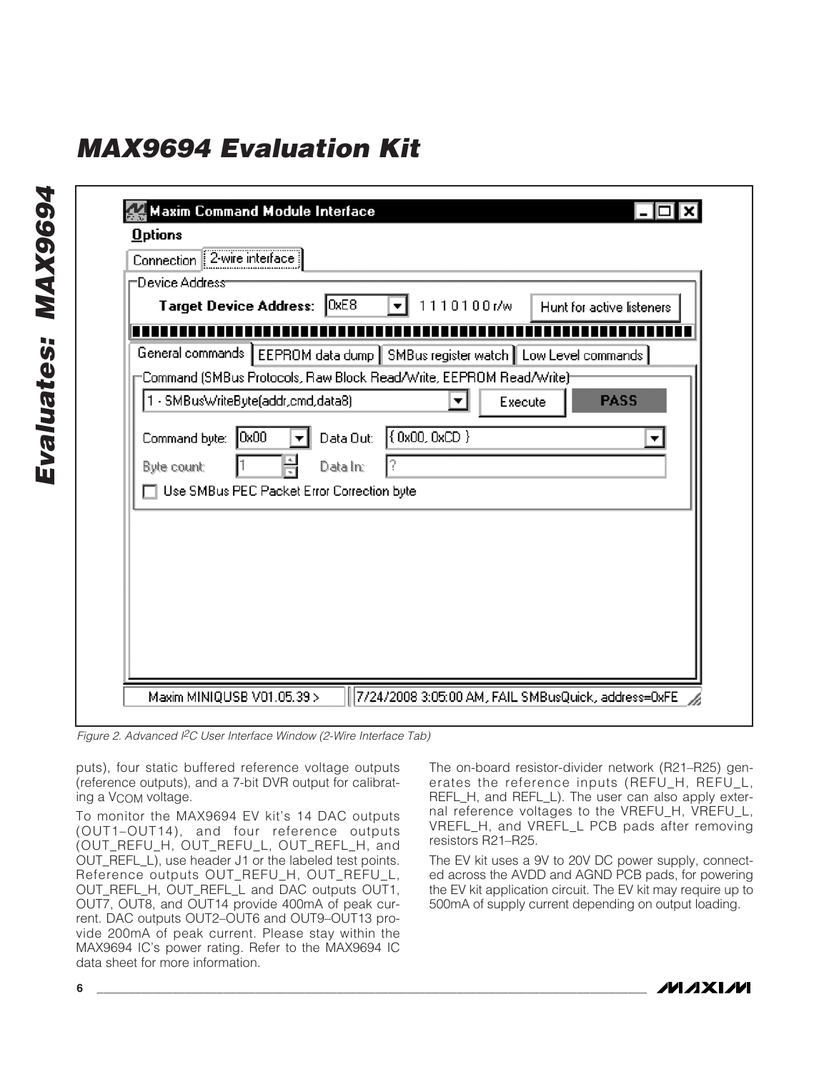|                | Connection 2-wire interface                                                     |           |                  |         |                           |
|----------------|---------------------------------------------------------------------------------|-----------|------------------|---------|---------------------------|
| Device Address |                                                                                 |           |                  |         |                           |
|                | <b>Target Device Address:</b>                                                   | 0xE8      | 1110100r/w<br>۰ı |         | Hunt for active listeners |
|                |                                                                                 |           |                  |         |                           |
|                | General commands   EEPROM data dump   SMBus register watch   Low Level commands |           |                  |         |                           |
|                | =Command (SMBus Protocols, Raw Block Read/Write, EEPROM Read/Write)=            |           |                  |         |                           |
|                | 1 - SMBusWriteByte(addr,cmd,data8)                                              |           | ▼                | Execute | <b>PASS</b>               |
|                |                                                                                 |           |                  |         |                           |
| Command byte:  | 0x00                                                                            | Data Out: | (0x00, 0xCD)     |         | ▼                         |
| Byte count:    |                                                                                 | Data In:  | ?                |         |                           |
|                | Use SMBus PEC Packet Error Correction byte                                      |           |                  |         |                           |
|                |                                                                                 |           |                  |         |                           |
|                |                                                                                 |           |                  |         |                           |
|                |                                                                                 |           |                  |         |                           |
|                |                                                                                 |           |                  |         |                           |
|                |                                                                                 |           |                  |         |                           |
|                |                                                                                 |           |                  |         |                           |
|                |                                                                                 |           |                  |         |                           |

Figure 2. Advanced I<sup>2</sup>C User Interface Window (2-Wire Interface Tab)

puts), four static buffered reference voltage outputs (reference outputs), and a 7-bit DVR output for calibrating a VCOM voltage.

To monitor the MAX9694 EV kit's 14 DAC outputs (OUT1–OUT14), and four reference outputs (OUT\_REFU\_H, OUT\_REFU\_L, OUT\_REFL\_H, and OUT\_REFL\_L), use header J1 or the labeled test points. Reference outputs OUT\_REFU\_H, OUT\_REFU\_L, OUT\_REFL\_H, OUT\_REFL\_L and DAC outputs OUT1, OUT7, OUT8, and OUT14 provide 400mA of peak current. DAC outputs OUT2–OUT6 and OUT9–OUT13 provide 200mA of peak current. Please stay within the MAX9694 IC's power rating. Refer to the MAX9694 IC data sheet for more information.

The on-board resistor-divider network (R21–R25) generates the reference inputs (REFU\_H, REFU\_L, REFL\_H, and REFL\_L). The user can also apply external reference voltages to the VREFU\_H, VREFU\_L, VREFL\_H, and VREFL\_L PCB pads after removing resistors R21–R25.

The EV kit uses a 9V to 20V DC power supply, connected across the AVDD and AGND PCB pads, for powering the EV kit application circuit. The EV kit may require up to 500mA of supply current depending on output loading.

*IVIJIXIJV*I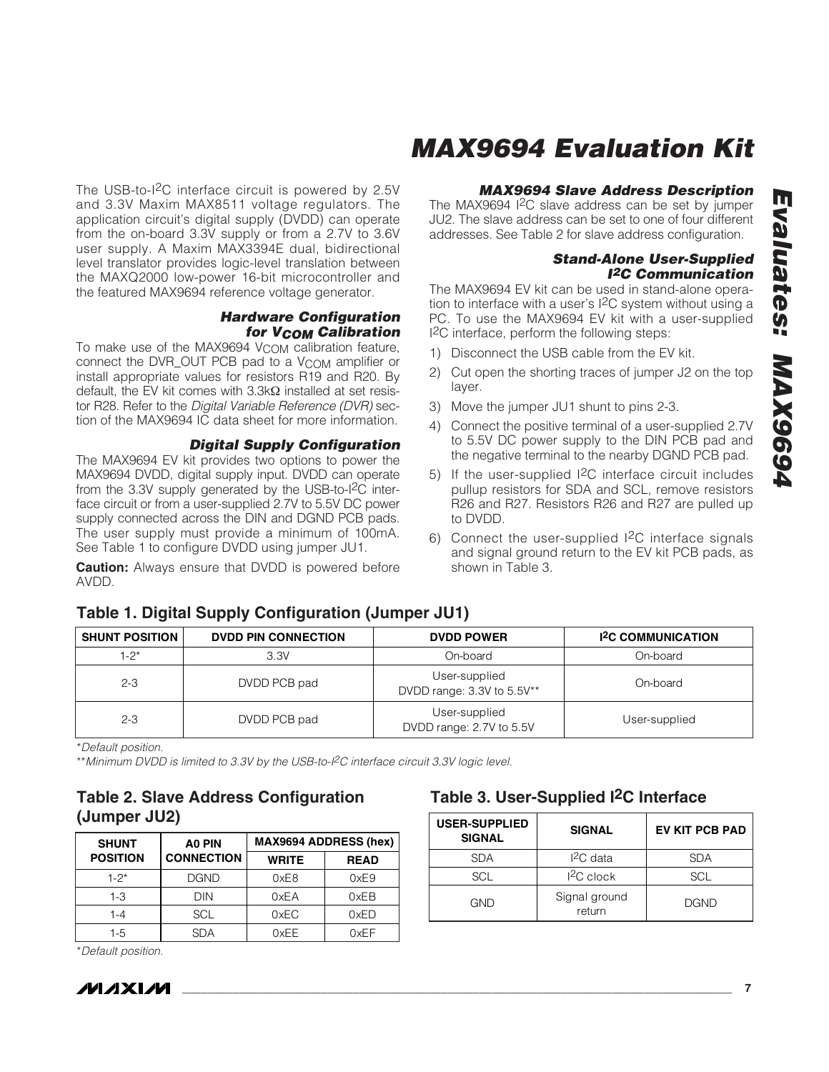The USB-to-I2C interface circuit is powered by 2.5V and 3.3V Maxim MAX8511 voltage regulators. The application circuit's digital supply (DVDD) can operate from the on-board 3.3V supply or from a 2.7V to 3.6V user supply. A Maxim MAX3394E dual, bidirectional level translator provides logic-level translation between the MAXQ2000 low-power 16-bit microcontroller and the featured MAX9694 reference voltage generator.

### **Hardware Configuration for VCOM Calibration**

To make use of the MAX9694  $V_{\text{COM}}$  calibration feature, connect the DVR\_OUT PCB pad to a V<sub>COM</sub> amplifier or install appropriate values for resistors R19 and R20. By default, the EV kit comes with 3.3kΩ installed at set resistor R28. Refer to the Digital Variable Reference (DVR) section of the MAX9694 IC data sheet for more information.

#### **Digital Supply Configuration**

The MAX9694 EV kit provides two options to power the MAX9694 DVDD, digital supply input. DVDD can operate from the 3.3V supply generated by the USB-to-I2C interface circuit or from a user-supplied 2.7V to 5.5V DC power supply connected across the DIN and DGND PCB pads. The user supply must provide a minimum of 100mA. See Table 1 to configure DVDD using jumper JU1.

**Caution:** Always ensure that DVDD is powered before AVDD.

### **MAX9694 Slave Address Description**

The MAX9694 I<sup>2</sup>C slave address can be set by jumper JU2. The slave address can be set to one of four different addresses. See Table 2 for slave address configuration.

### **Stand-Alone User-Supplied I2C Communication**

The MAX9694 EV kit can be used in stand-alone operation to interface with a user's I2C system without using a PC. To use the MAX9694 EV kit with a user-supplied I2C interface, perform the following steps:

- 1) Disconnect the USB cable from the EV kit.
- 2) Cut open the shorting traces of jumper J2 on the top layer.
- 3) Move the jumper JU1 shunt to pins 2-3.
- 4) Connect the positive terminal of a user-supplied 2.7V to 5.5V DC power supply to the DIN PCB pad and the negative terminal to the nearby DGND PCB pad.
- 5) If the user-supplied I2C interface circuit includes pullup resistors for SDA and SCL, remove resistors R26 and R27. Resistors R26 and R27 are pulled up to DVDD.
- 6) Connect the user-supplied I2C interface signals and signal ground return to the EV kit PCB pads, as shown in Table 3.

### **Table 1. Digital Supply Configuration (Jumper JU1)**

| <b>SHUNT POSITION</b> | <b>DVDD PIN CONNECTION</b> | <b>DVDD POWER</b>                           | <b>1<sup>2</sup>C COMMUNICATION</b> |
|-----------------------|----------------------------|---------------------------------------------|-------------------------------------|
| $1-2^{*}$             | 3.3V                       | On-board                                    | On-board                            |
| $2 - 3$               | DVDD PCB pad               | User-supplied<br>DVDD range: 3.3V to 5.5V** | On-board                            |
| $2 - 3$               | DVDD PCB pad               | User-supplied<br>DVDD range: 2.7V to 5.5V   | User-supplied                       |

\*Default position.

\*\* Minimum DVDD is limited to 3.3V by the USB-to-I<sup>2</sup>C interface circuit 3.3V logic level.

### **Table 2. Slave Address Configuration (Jumper JU2)**

| <b>SHUNT</b>    | A0 PIN            | <b>MAX9694 ADDRESS (hex)</b> |             |
|-----------------|-------------------|------------------------------|-------------|
| <b>POSITION</b> | <b>CONNECTION</b> | <b>WRITE</b>                 | <b>READ</b> |
| $1 - 2^*$       | <b>DGND</b>       | 0xE8                         | 0xE9        |
| $1-3$           | DIN               | 0xEA                         | 0xEB        |
| $1 - 4$         | <b>SCL</b>        | 0xEC                         | 0xED        |
| 1-5             | SDA               | 0xFF                         | 0xEF        |

\*Default position.



## **Table 3. User-Supplied I2C Interface**

| <b>USER-SUPPLIED</b><br><b>SIGNAL</b> | <b>SIGNAL</b>           | <b>EV KIT PCB PAD</b> |
|---------------------------------------|-------------------------|-----------------------|
| <b>SDA</b>                            | $12C$ data              | <b>SDA</b>            |
| SCL                                   | $12C$ clock             | SCL                   |
| <b>GND</b>                            | Signal ground<br>return | <b>DGND</b>           |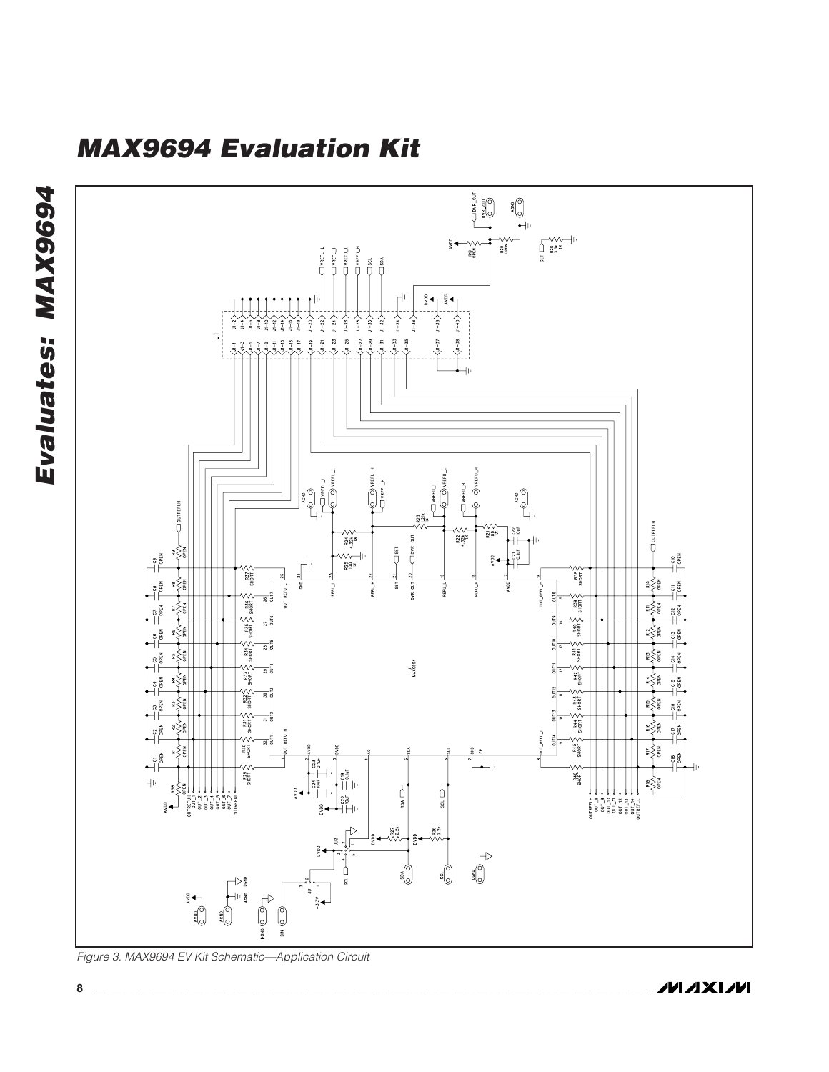

Figure 3. MAX9694 EV Kit Schematic—Application Circuit

**MAXIM** 

**Evaluates: MAX9694**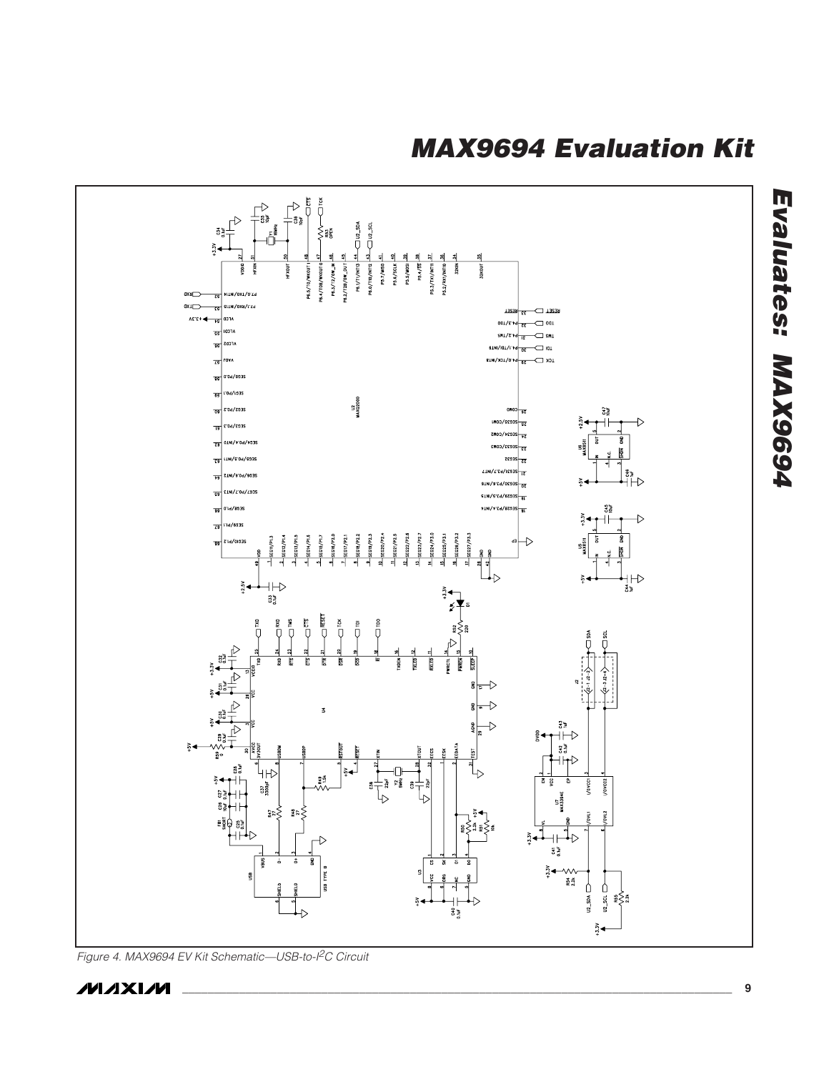

Figure 4. MAX9694 EV Kit Schematic—USB-to-I<sup>2</sup>C Circuit

**MAXIM**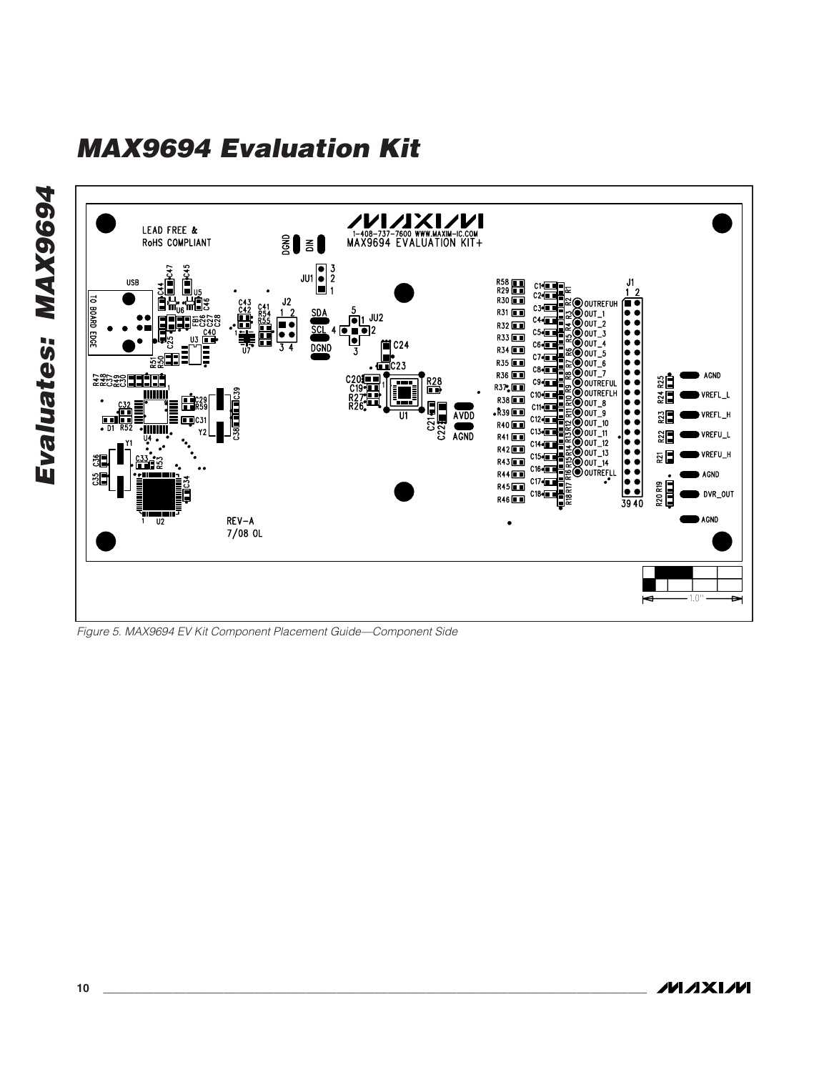

Figure 5. MAX9694 EV Kit Component Placement Guide—Component Side

**Evaluates: MAX9694**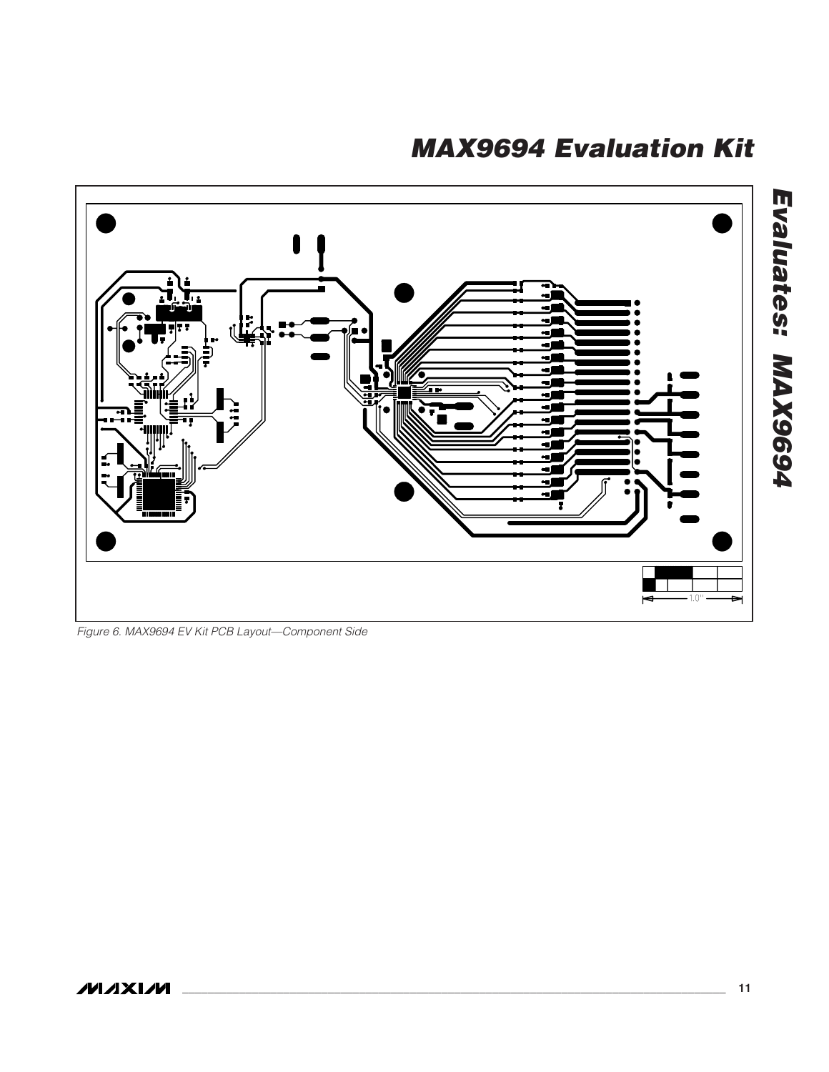

Figure 6. MAX9694 EV Kit PCB Layout—Component Side